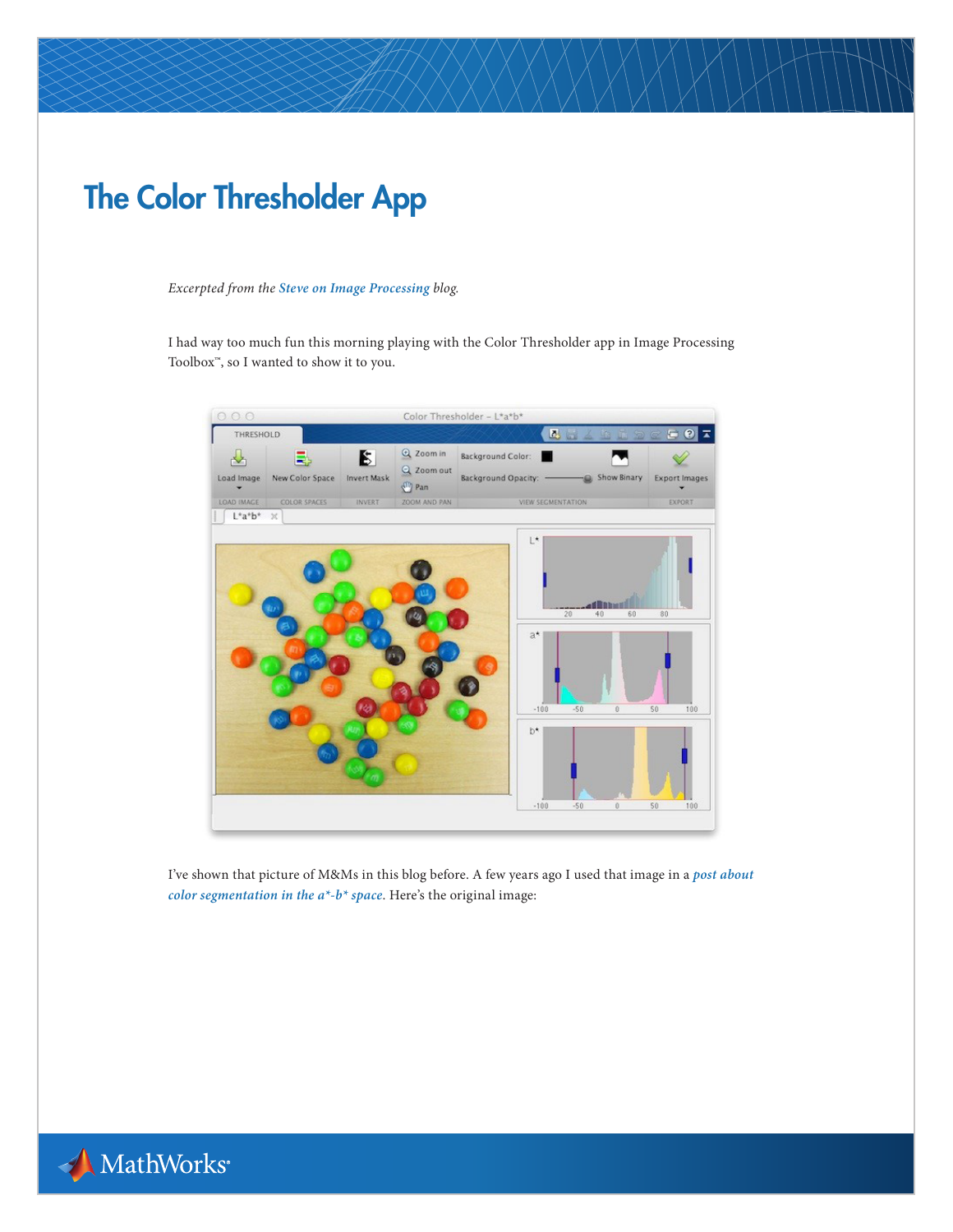## The Color Thresholder App

## *Excerpted from the [Steve on Image Processing](http://blogs.mathworks.com/steve/) blog.*

I had way too much fun this morning playing with the Color Thresholder app in Image Processing Toolbox<sup>™</sup>, so I wanted to show it to you.



I've shown that picture of M&Ms in this blog before. A few years ago I used that image in a *[post about](http://blogs.mathworks.com/steve/2011/02/04/more-on-segmenting-in-a-b-space/)  [color segmentation in the a\\*-b\\* space](http://blogs.mathworks.com/steve/2011/02/04/more-on-segmenting-in-a-b-space/)*. Here's the original image:

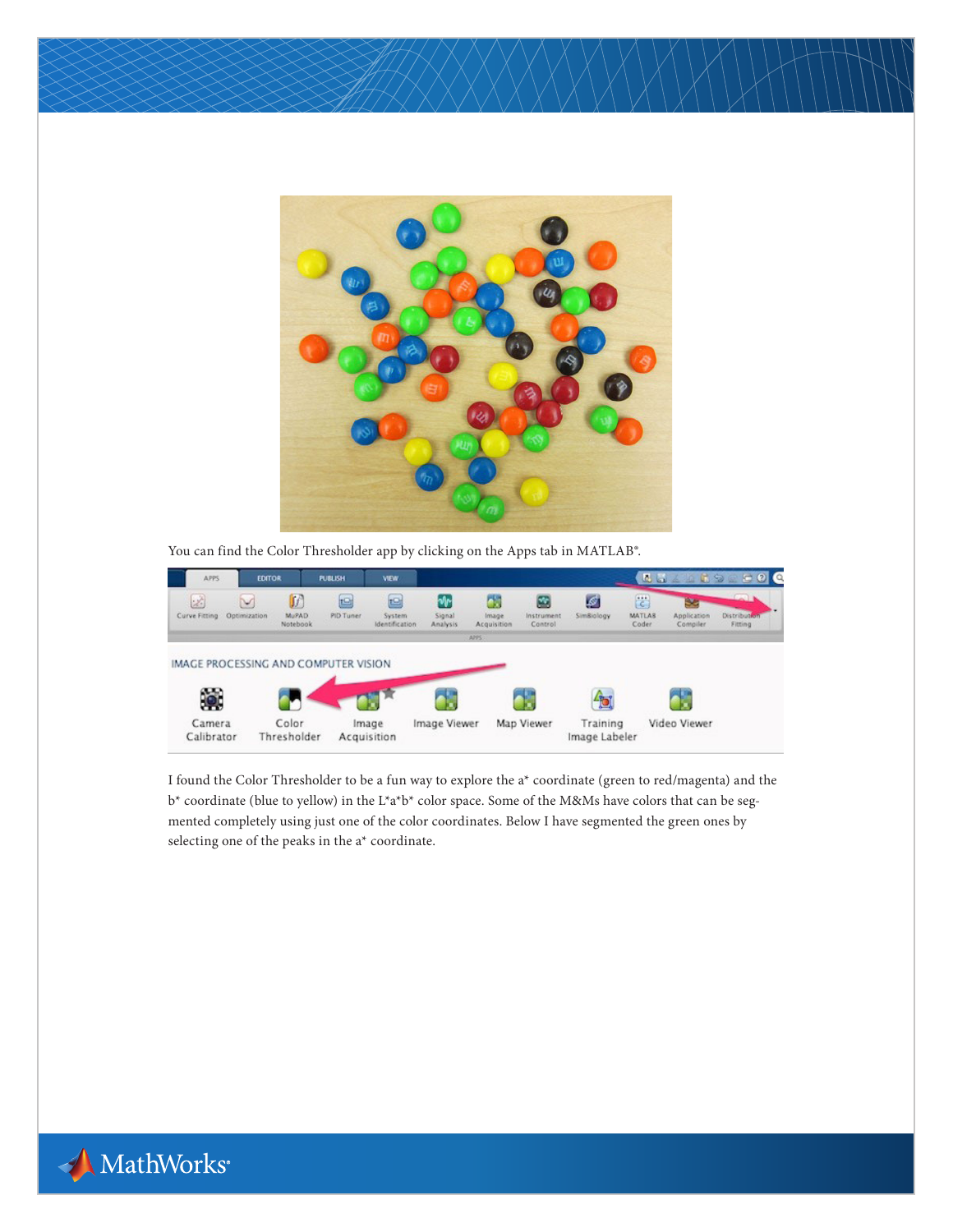

You can find the Color Thresholder app by clicking on the Apps tab in MATLAB®.



I found the Color Thresholder to be a fun way to explore the a\* coordinate (green to red/magenta) and the b\* coordinate (blue to yellow) in the L\*a\*b\* color space. Some of the M&Ms have colors that can be segmented completely using just one of the color coordinates. Below I have segmented the green ones by selecting one of the peaks in the a\* coordinate.

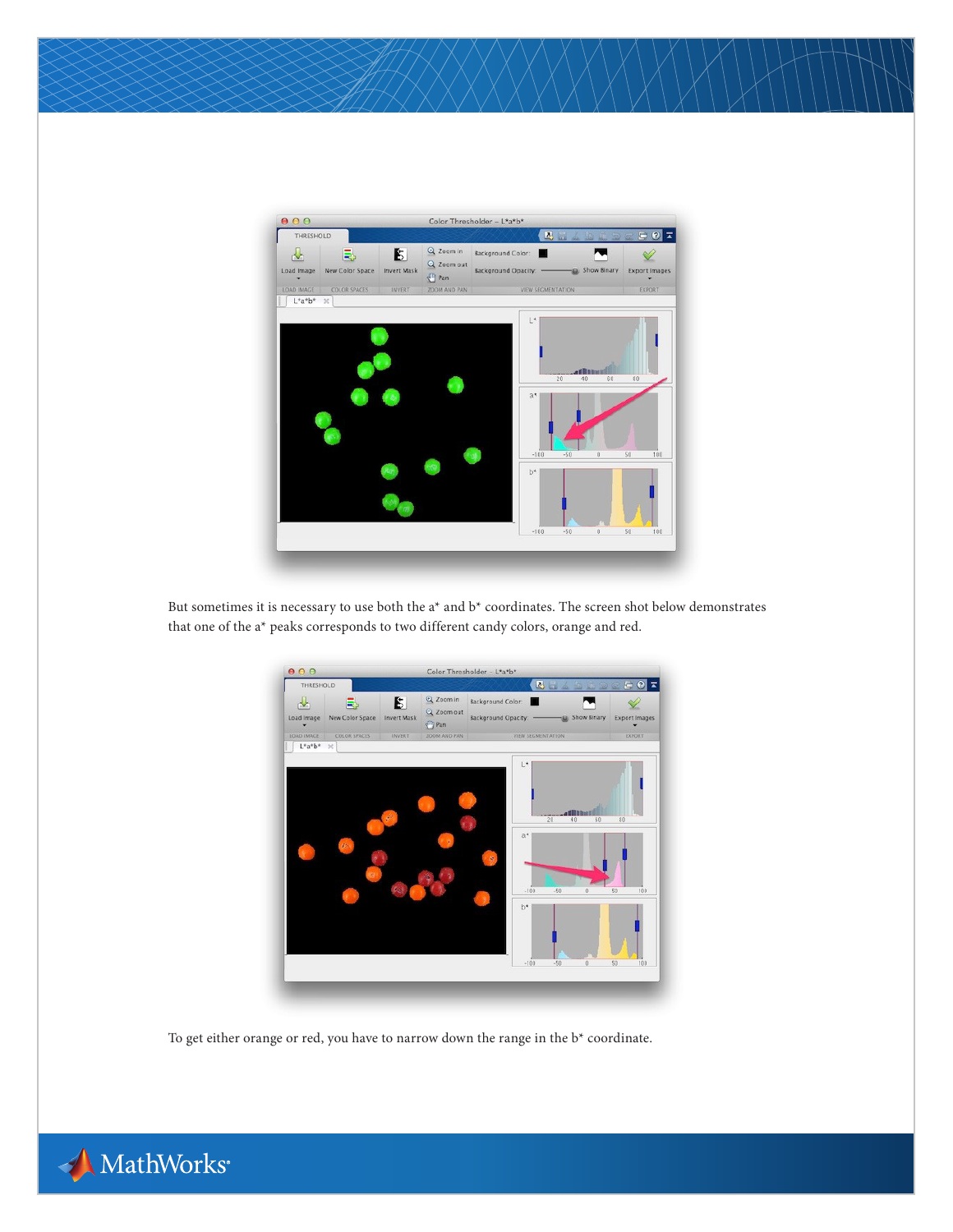

But sometimes it is necessary to use both the a\* and b\* coordinates. The screen shot below demonstrates that one of the a\* peaks corresponds to two different candy colors, orange and red.



To get either orange or red, you have to narrow down the range in the b\* coordinate.

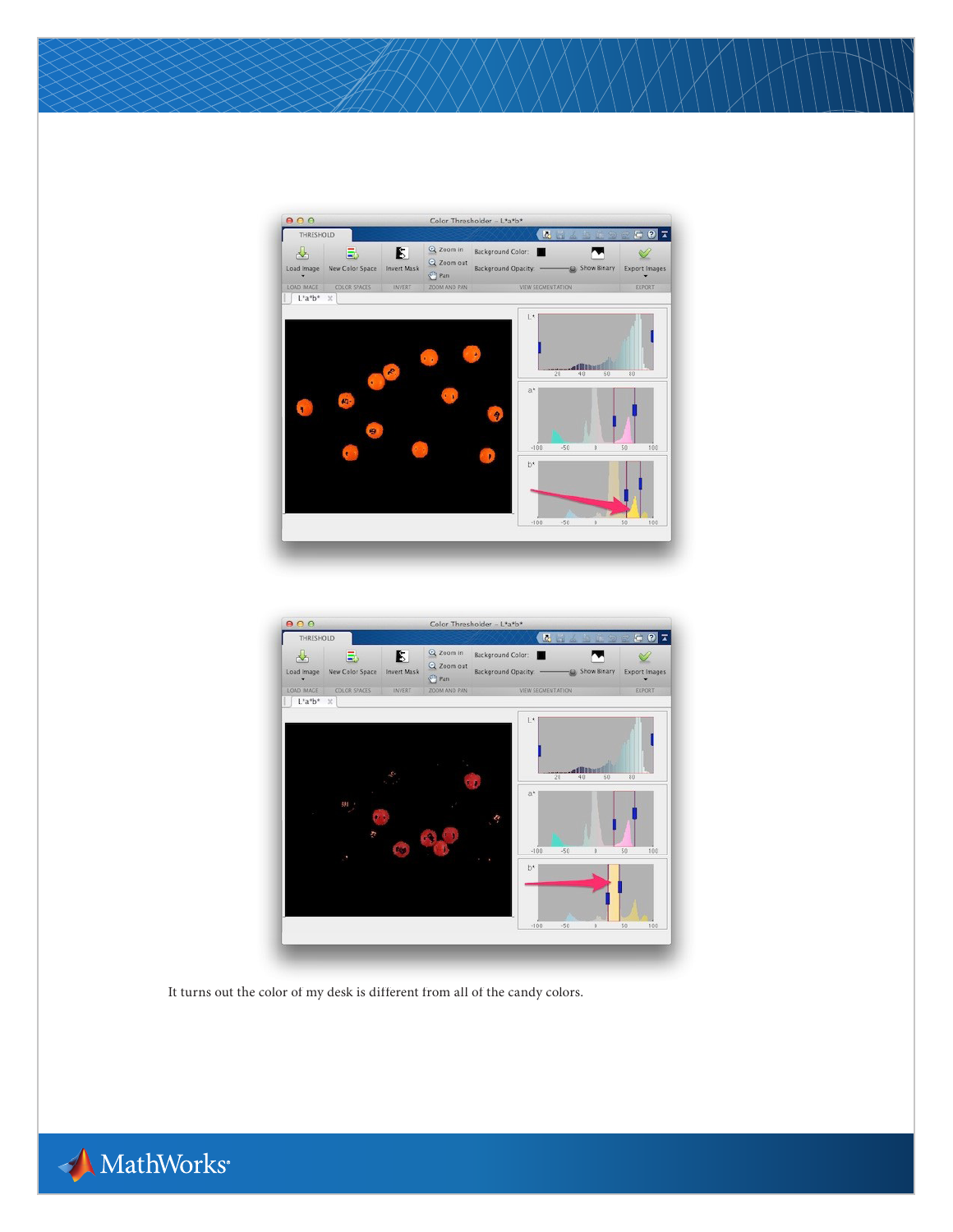



It turns out the color of my desk is different from all of the candy colors.

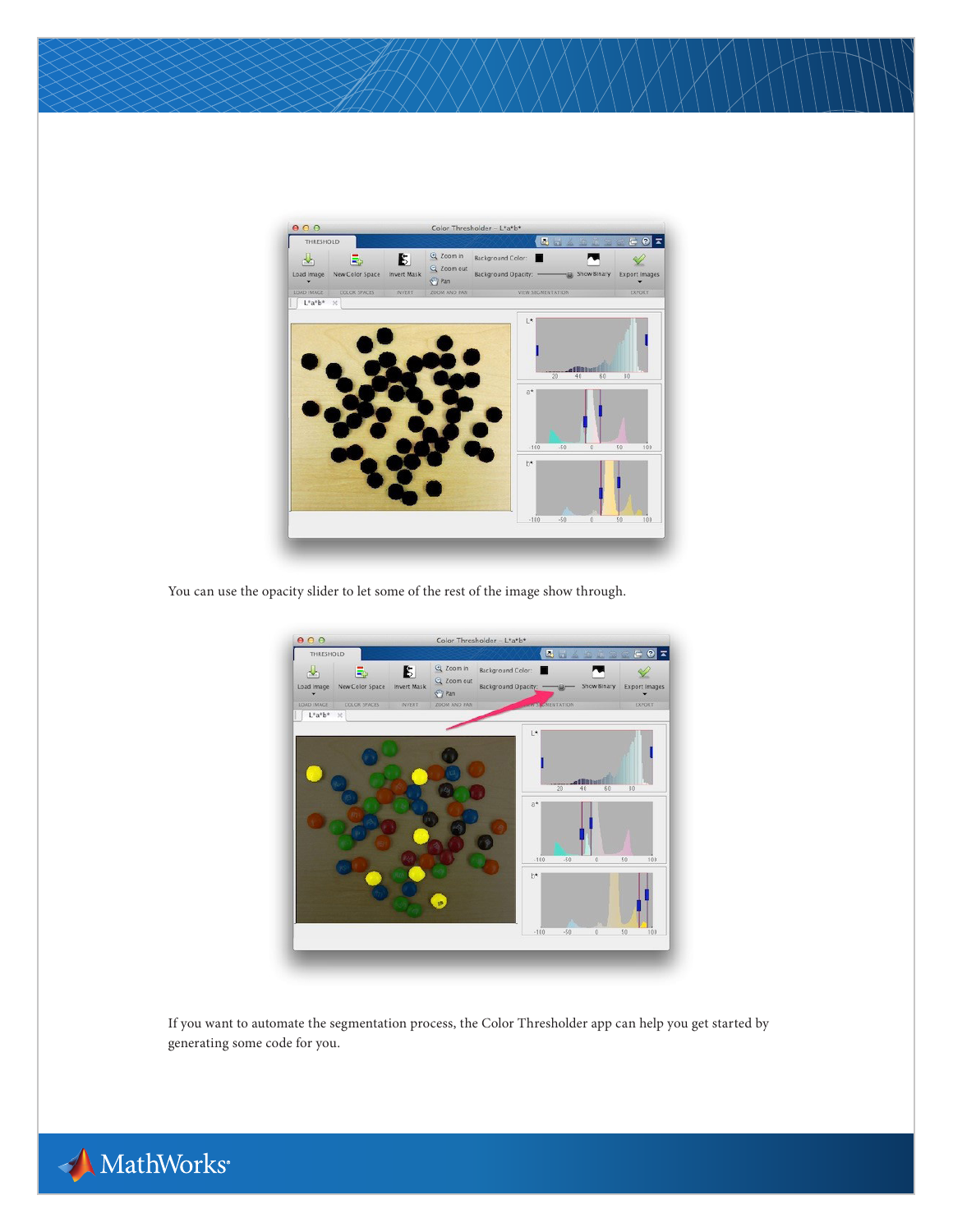

You can use the opacity slider to let some of the rest of the image show through.



If you want to automate the segmentation process, the Color Thresholder app can help you get started by generating some code for you.

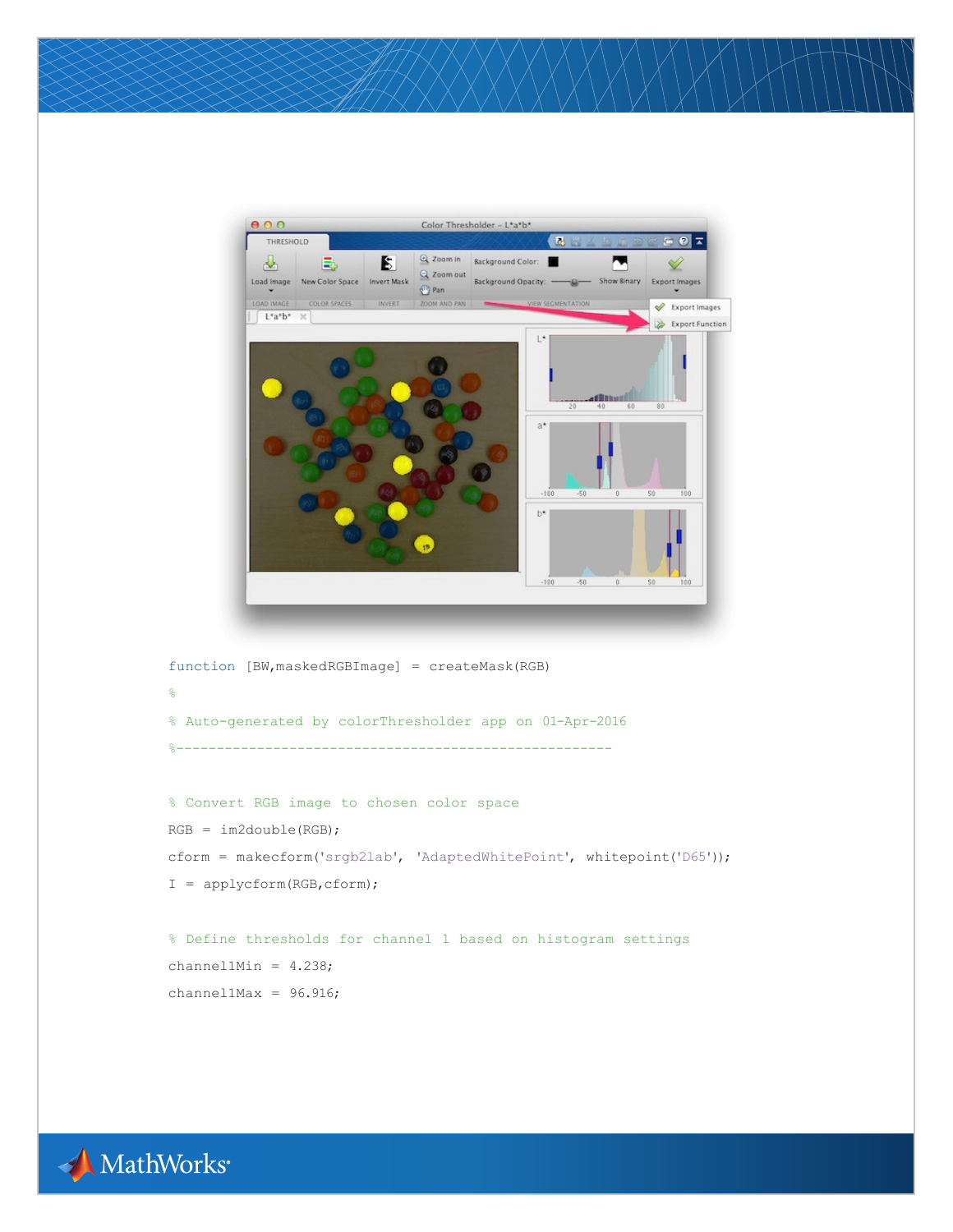

function [BW,maskedRGBImage] = createMask(RGB) % % Auto-generated by colorThresholder app on 01-Apr-2016 %------------------------------------------------------

```
% Convert RGB image to chosen color space
RGB = im2double(RGB);
cform = makecform('srgb2lab', 'AdaptedWhitePoint', whitepoint('D65'));
I = applycform(RGB,cform);
```

```
% Define thresholds for channel 1 based on histogram settings
channel1Min = 4.238;
channel1Max = 96.916;
```
MathWorks®